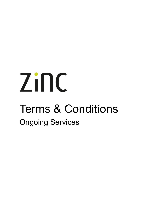# Zinc Terms & Conditions Ongoing Services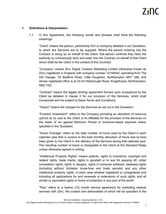# **1. Definitions & Interpretation**

1.1. In this Agreement, the following words and phrases shall have the following meanings:

"Client" means the person, partnership firm or company detailed in our Quotation, to which the Services are to be supplied. Where the person entering into the Contract is doing so on behalf of the Client, that person confirms they have the authority to contractually bind and enter into the Contract on behalf of that Client which shall be the Client in the context of this Contract;

"Company" means Zinc Digital Creative Marketing Limited (otherwise known as Zinc) registered in England with company number 12159042, operating from The Old Garage, 33 Bedford Road, Little Houghton, Northampton NN7 1AB, and whose registered office is at 22-24 Harborough Road, Kingsthorpe, Northampton, NN2 7AZ;

"Contract" means the legally binding agreement formed upon acceptance by the Client as detailed in clause 3 for our provision of the Services, which shall incorporate and be subject to these Terms and Conditions;

"Fee(s)" means the charges for the Services as set out in the Quotation;

"Forward Investment" refers to the Company providing an allocation of resource upfront at no cost to the Client or its Affiliates for the provision of the Services on the basis of an agreed Minimum Period or incentive-based payment where specified in the Quotation.

"Hours Overage" refers to the total number of hours used by the Client in each calendar year that is surplus to the total monthly allocation of hours due to have been given to the Client in the delivery of the Services during that calendar year. The resulting number of hours is chargeable to the Client at the Standard Rates unless otherwise agreed in writing.

"Intellectual Property Rights" means patents, rights to inventions, copyright and related rights, trade marks, rights in goodwill or to sue for passing off, unfair competition rights, rights in designs, rights in computer software, database rights (including without limitation know-how and trade secrets) and any other intellectual property rights, in each case whether registered or unregistered and including all applications for and renewals or extensions of such rights, and all similar or equivalent rights or forms of protection in any part of the world;

"Plan" refers to a twelve (12) month service agreement for marketing retainer services with Zinc, the content and deliverables of which will be specified in the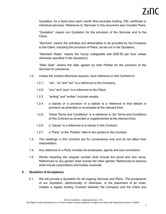Quotation, for a fixed price each month (this excludes hosting, SSL certificate or individual services). Reference to 'Services' in this document also includes Plans;

"Quotation" means our Quotation for the provision of the Services and to the Client;

"Services" means the activities and deliverables to be provided by the Company to the Client, including the provision of Plans, as set out in the Quotation;

"Standard Rates" means the hourly chargeable rate (£95.00 per hour unless otherwise specified in the Quotation);

"Start Date" means the date agreed by both Parties for the provision of the Services to commence.

- 1.2. Unless the context otherwise requires, each reference in this Contract to:
	- 1.2.1. "we", "us" and "our" is a reference to the Company;
	- 1.2.2. "you" and "your" is a reference to the Client;
	- 1.2.3. "writing" and "written" includes emails;
	- 1.2.4. a statute or a provision of a statute is a reference to that statute or provision as amended or re-enacted at the relevant time;
	- 1.2.5. "these Terms and Conditions" is a reference to the Terms and Conditions of this Contract as amended or supplemented at the relevant time;
	- 1.2.6. a "clause" is a reference to a clause in this Contract;
	- 1.2.7. a "Party" or the "Parties" refer to the parties to this Contract
- 1.3. The headings in this Contract are for convenience only and do not affect their interpretation.
- 1.4. Any reference to a Party includes its employees, agents and sub-contractors.
- 1.5. Words imparting the singular number shall include the plural and vice versa. References to any gender shall include the other gender. References to persons shall include corporations and bodies corporate.

# **2. Quotation & Acceptance**

2.1. We will provide a Quotation for all ongoing Services and Plans. The acceptance of our Quotation, electronically or otherwise, or the placement of an order, creates a legally binding Contract between the Company and the Client and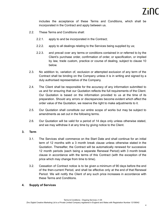includes the acceptance of these Terms and Conditions, which shall be incorporated in the Contract and apply between us.

- 2.2. These Terms and Conditions shall:
	- 2.2.1. apply to and be incorporated in the Contract;
	- 2.2.2. apply to all dealings relating to the Services being supplied by us;
	- 2.2.3. and prevail over any terms or conditions contained in or referred to by the Client's purchase order, confirmation of order, or specification, or implied by law, trade custom, practice or course of dealing, subject to clause 10 below.
- 2.3. No addition to, variation of, exclusion or attempted exclusion of any term of the Contract shall be binding on the Company unless it is in writing and signed by a duly authorised representative of the Company.
- 2.4. The Client shall be responsible for the accuracy of any information submitted to us and for ensuring that our Quotation reflects the full requirements of the Client. Our Quotation is based on the information provided to us at the time of its preparation. Should any errors or discrepancies become evident which affect the order value of the Quotation, we reserve the right to make adjustments to it.
- 2.5. Our Quotation shall constitute our entire scope of works but may be subject to amendments as set out in the following terms.
- 2.6. Our Quotation will be valid for a period of 14 days only unless otherwise stated, and we may withdraw it at any time by giving notice to the Client.

# **3. Term**

- 3.1. The Services shall commence on the Start Date and shall continue for an initial term of 12 months with a 3 month break clause unless otherwise stated in the Quotation. Thereafter, the Contract will be automatically renewed for successive 12 month periods (each being a separate Renewal Period) with 3 month break clause in accordance with the terms of this Contract (with the exception of the price which may change from time to time).
- 3.2. Cessation of Contract notice is to be given a minimum of 90 days before the end of the then-current Period, and shall be effective only at the end of that Renewal Period. We will notify the Client of any such price increases in accordance with these Terms and Conditions.

# **4. Supply of Services**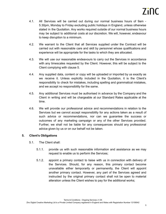- 4.1. All Services will be carried out during our normal business hours of 9am 5.30pm, Monday to Friday excluding public holidays in England, unless otherwise stated in the Quotation. Any works required outside of our normal business hours may be subject to additional costs at our discretion. We will, however, endeavour to keep disruption to a minimum.
- 4.2. We warrant to the Client that all Services supplied under the Contract will be carried out with reasonable care and skill by personnel whose qualifications and experience will be appropriate for the tasks to which they are allocated.
- 4.3. We will use our reasonable endeavours to carry out the Services in accordance with any timescales requested by the Client. However, this will be subject to the Client complying with clause 5.
- 4.4. Any supplied data, content or copy will be uploaded or imported by us exactly as we receive it. Unless explicitly included in the Quotation, it is the Client's responsibility to check for mistakes, including spelling and grammatical mistakes, and we accept no responsibility for the same.
- 4.5. Any additional Services must be authorised in advance by the Company and the Client in writing and will be chargeable at our Standard Rates applicable at the time.
- 4.6. We will provide our professional advice and recommendations in relation to the Services but we cannot accept responsibility for any actions taken as a result of such advice or recommendations, nor can we guarantee the success or outcomes of any marketing campaign or any of the other Services provided. Further, we shall not be liable for any consequences should any professional advice given by us or on our behalf not be taken.

# **5. Client's Obligations**

- 5.1. The Client shall:
	- 5.1.1. provide us with such reasonable information and assistance as we may request to enable us to perform the Services;
	- 5.1.2. appoint a primary contact to liaise with us in connection with delivery of the Services. Should, for any reason, this primary contact become unavailable either temporarily or permanently, the Client will appoint another primary contact. However, any part of the Services agreed and instructed by the original primary contact shall not be open to material alteration unless the Client wishes to pay for the additional works;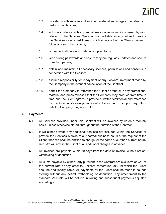- 5.1.3. provide us with suitable and sufficient material and images to enable us to perform the Services;
- 5.1.4. act in accordance with any and all reasonable instructions issued by us in relation to the Services. We shall not be liable for any failure to provide the Services or any part thereof which arises out of the Client's failure to follow any such instructions;
- 5.1.5. virus-check all data and material supplied to us;
- 5.1.6. keep strong passwords and ensure they are regularly updated and secure from third parties;
- 5.1.7. obtain and maintain all necessary licences, permissions and consents in connection with the Services;
- 5.1.8. assume responsibility for repayment of any Forward Investment made by the Company in the event of cancellation of the Contract.
- 5.1.9. permit the Company to reference the Client's brand(s) in any promotional material and press releases that the Company may produce from time to time and the Client agrees to provide a written testimonial and reference for the Company's own promotional activities and to support any future bids the Company may undertake.

# **6. Payments**

- 6.1. All Services provided under this Contract will be invoiced by us on a monthly basis, unless otherwise stated, throughout the duration of the Contract
- 6.2. If we either provide any additional services not included within the Services or provide the Services outside of our normal business hours at the request of the Client, then we shall be entitled to charge for the same at our then current hourly rate. We will advise the Client of all additional charges in advance.
- 6.3. All invoices are payable within 30 days from the date of invoice, without set-off, withholding or deduction.
- 6.4. All sums payable by either Party pursuant to the Contract are exclusive of VAT at the current rate or any other tax (except corporation tax), for which the Client shall be additionally liable. All payments by the Client shall be made in pounds sterling without any set-off, withholding or deduction. Any amendment to the standard VAT rate will be notified in writing and subsequent payments adjusted accordingly.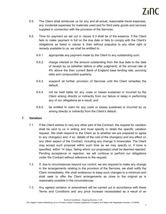- 6.5. The Client shall reimburse us for any and all actual, reasonable travel expenses, any incidental expenses for materials used and for third party goods and services supplied in connection with the provision of the Services.
- 6.6. Time for payment as set out in clause 6.3 shall be of the essence. If the Client fails to make payment in full on the due date or fails to comply with the Client's obligations as listed in clause 4, then without prejudice to any other right or remedy available to us, we shall be entitled to:
	- 6.6.1. appropriate any payment made by the Client to any outstanding sum;
	- 6.6.2. charge interest on the amount outstanding from the due date to the date of receipt by us (whether before or after judgment), at the annual rate of 4% above the then current Bank of England base lending rate, accruing daily and compounded quarterly;
	- 6.6.3. suspend all further provision of Services until the Client remedies the default;
	- 6.6.4. not be held liable for any costs or losses sustained or incurred by the Client arising directly or indirectly from our failure or delay in performing any of our obligations as a result; and
	- 6.6.5. be entitled to claim for any costs or losses sustained or incurred by us arising directly or indirectly from the Client's default.

# **7. Variation**

- 7.1. If the Client wishes to vary any other part of the Contract, the request for variation shall be sent to us in writing and must specify in detail the specific variation request. We shall respond to the Client as to whether we are prepared to agree to any change(s) and, if so, details of the cost of the change(s) and any effect on any other aspect of the Contract, including any change in timescales. The Client may accept such proposal within such time as we may specify or, if none is specified, within 14 days, failing which our proposal(s) shall be deemed rejected. Pending acceptance or rejection, we will continue to perform our obligations under the Contract without reference to the request.
- 7.2. If, due to circumstances beyond our control, we are required to make any change in the arrangements relating to the provision of the Services, we shall notify the Client immediately. We shall endeavour to keep such changes to a minimum and shall seek to offer the Client arrangements as close to the original as is reasonably possible in the circumstances.
- 7.3. Any agreed variation or amendment will be carried out in accordance with these Terms and Conditions and any price increase necessitated as a result of an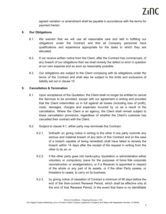agreed variation or amendment shall be payable in accordance with the terms for payment herein.

# **8. Our Obligations**

- 8.1. We warrant that we will use all reasonable care and skill in fulfilling our obligations under the Contract and that all Company personnel have qualifications and experience appropriate for the tasks to which they are allocated.
- 8.2. If we receive written notice from the Client, after the Contract has commenced, of any breach of our obligations then we shall remedy the defect or error in question at our own expense and as soon as reasonably possible.
- 8.3. Our obligations are subject to the Client complying with its obligations under the terms of the Contract and shall also be subject to the limits and exclusions of liability set out in clause 10.

# **9. Cancellation & Termination**

- 9.1. Upon acceptance of the Quotation, the Client shall no longer be entitled to cancel the Services to be provided, except with our agreement in writing and provided that the Client indemnifies us in full against all losses (including loss of profit), costs, damages, charges and expenses incurred by us as a result of the cancellation. Where the Client is an agency, the Client shall remain subject to these cancellation provisions, regardless of whether the Client's customer has cancelled their contract with the Client.
- 9.2. Subject to clause 9.1, either party may terminate this Contract:
	- 9.2.1. forthwith on giving notice in writing to the other if one party commits any serious and material breach of any term of this Contract and (in the case of a breach capable of being remedied) shall have failed to remedy the breach within 14 days after the receipt of the request in writing from the other to do so; or
	- 9.2.2. if the other party goes into bankruptcy, liquidation or administration either voluntary or compulsory (save for the purposes of bona fide corporate reconstruction or amalgamation), or if a Receiver is appointed in respect of the whole or any part of its assets, or if the other Party ceases, or threatens to cease, to carry on its business.
	- 9.2.3. by giving notice of cessation of Contract a minimum of 90 days before the end of the then-current Renewal Period, which shall be effective only at the end of that Renewal Period. In the event that there is no identifiable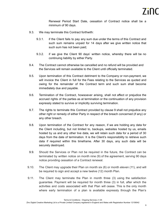Renewal Period Start Date, cessation of Contract notice shall be a minimum of 90 days.

- 9.3. We may terminate this Contract forthwith:
	- 9.3.1. if the Client fails to pay any sum due under the terms of this Contract and such sum remains unpaid for 14 days after we give written notice that such sum has not been paid;
	- 9.3.2. if we give the Client 90 days' written notice, whereby there will be no continuing liability by either Party.
- 9.4. The Contract cannot otherwise be cancelled and no refund will be provided and the Services will remain available to the Client until officially terminated.
- 9.5. Upon termination of this Contract detriment to the Company or non-payment, we will invoice the Client in full for the Fees relating to the Services as quoted and owing for the remainder of the Contract term and such sum shall become immediately due and payable.
- 9.6. Termination of the Contract, howsoever arising, shall not affect or prejudice the accrued rights of the parties as at termination or the continuation of any provision expressly stated to survive or implicitly surviving termination.
- 9.7. The rights to terminate this Contract provided by clause 9 shall not prejudice any other right or remedy of either Party in respect of the breach concerned (if any) or any other breach.
- 9.8. Upon termination of the Contract for any reason, if we are holding any data for the Client including, but not limited to, backups, websites hosted by us, emails hosted by us and any other live data, we will retain such data for a period of 30 days from the date of termination. It is the Client's responsibility to retrieve such data if required within this timeframe. After 30 days, any such data will be securely destroyed.
- 9.9. Should the Services or Plan not be required in the future, the Contract can be terminated by written notice on month nine (9) of the agreement, serving 90 days notice providing cessation of a Contract renewal.
- 9.10. The Client may upgrade their Plan on month six (6) or month eleven (11), and will be required to sign and accept a new twelve (12) month Plan.
- 9.11. The Client may terminate the Plan in month three (3) using the satisfaction guarantee. Payment will be required for month three (3) in full, after which the activities and costs associated with that Plan will cease. This is the only month where early termination of a plan is available expressly through the Plan's

Terms & Conditions - Ongoing Services v1.05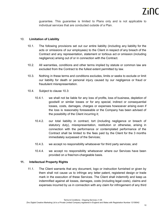guarantee. This guarantee is limited to Plans only and is not applicable to individual services that are conducted outside of a Plan.

# 10. **Limitation of Liability**

- 10.1. The following provisions set out our entire liability (including any liability for the acts or omissions of our employees) to the Client in respect of any breach of the Contract and any representation, statement or tortious act or omission (including negligence) arising out of or in connection with the Contract.
- 10.2. All warranties, conditions and other terms implied by statute or common law are excluded from the Contract to the fullest extent permitted by law.
- 10.3. Nothing in these terms and conditions excludes, limits or seeks to exclude or limit our liability for death or personal injury caused by our negligence or fraud or fraudulent misrepresentation.
- 10.4. Subject to clause 10.3:
	- 10.4.1. we shall not be liable for any loss of profits, loss of business, depletion of goodwill or similar losses or for any special, indirect or consequential losses, costs, damages, charges or expenses howsoever arising even if the loss is reasonably foreseeable or the Company has been advised of the possibility of the Client incurring it;
	- 10.4.2. our total liability in contract, tort (including negligence or breach of statutory duty), misrepresentation, restitution or otherwise, arising in connection with the performance or contemplated performance of the Contract shall be limited to the fees paid by the Client for the 3 months immediately surpassed of the Services;
	- 10.4.3. we accept no responsibility whatsoever for third party services; and
	- 10.4.4. we accept no responsibility whatsoever where our Services have been provided on a free/non-chargeable basis.

# **11. Intellectual Property Rights**

11.1. The Client warrants that any document, logo or instruction furnished or given by them shall not cause us to infringe any letter patent, registered design or trade mark in the execution of these Services. The Client shall indemnify and keep us indemnified against all losses, damages, costs (including legal costs), claims and expenses incurred by us in connection with any claim for infringement of any third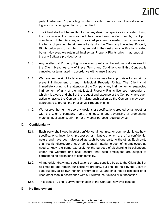party Intellectual Property Rights which results from our use of any document, logo or instruction given to us by the Client.

- 11.2. The Client shall not be entitled to use any design or specification created during the provision of the Services until they have been handed over by us. Upon completion of the Services, and provided payment is made in accordance with the terms of payment herein, we will extend to the Client any Intellectual Property Rights belonging to us which may subsist in the design or specification created by us. However, we retain all Intellectual Property Rights which may subsist in the any Software provided by us.
- 11.3. Any Intellectual Property Rights we may grant shall be automatically revoked if the Client breaches any of these Terms and Conditions or if this Contract is cancelled or terminated in accordance with clause 9 above.
- 11.4. We reserve the right to take such actions as may be appropriate to restrain or prevent infringement of any Intellectual Property Rights. The Client shall immediately bring to the attention of the Company any infringement or suspected infringement of any of the Intellectual Property Rights licensed hereunder of which it is aware and shall at the request and expense of the Company take such action or assist the Company in taking such action as the Company may deem appropriate to protect the Intellectual Property Rights.
- 11.5. We reserve the right to use any designs or specifications created by us, together with the Client's company name and logo, in any advertising or promotional material, publications, print, or for any other purpose required by us.

# **12. Confidentiality**

- 12.1. Each party shall keep in strict confidence all technical or commercial know-how, specifications, inventions, processes or initiatives which are of a confidential nature and have been disclosed as such by one party to the other. Each party shall restrict disclosure of such confidential material to such of its employees as need to know the same expressly for the purpose of discharging its obligations under the Contract and shall ensure that such employees are subject to corresponding obligations of confidentiality.
- 12.2. All materials, drawings, specifications or data supplied by us to the Client shall at all times be and remain our exclusive property, but shall be held by the Client in safe custody at its own risk until returned to us, and shall not be disposed of or used other than in accordance with our written instructions or authorisation.
- 12.3. This clause 12 shall survive termination of the Contract, however caused.

# **13. No Employment**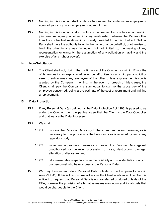- 13.1. Nothing in this Contract shall render or be deemed to render us an employee or agent of yours or you an employee or agent of ours.
- 13.2. Nothing in this Contract shall constitute or be deemed to constitute a partnership, joint venture, agency or other fiduciary relationship between the Parties other than the contractual relationship expressly provided for in this Contract. Neither Party shall have the authority to act in the name of or on behalf of, or otherwise to bind, the other in any way (including, but not limited to, the making of any representation or warranty, the assumption of any obligation or liability and the exercise of any right or power).

# **14. Non-Solicitation**

14.1. The Client shall not, during the continuance of the Contract, or within 12 months of its termination or expiry, whether on behalf of itself or any third party, solicit or seek to entice away any employee of the other unless express permission is granted by the Company in writing. In the event of breach of this clause, the Client shall pay the Company a sum equal to six months gross pay of the employee concerned, being a pre-estimate of the cost of recruitment and training a replacement.

# **15. Data Protection**

- 15.1. If any Personal Data (as defined by the Data Protection Act 1998) is passed to us under the Contract then the parties agree that the Client is the Data Controller and that we are the Data Processor.
- 15.2. We shall:
	- 15.2.1. process the Personal Data only to the extent, and in such manner, as is necessary for the provision of the Services or as is required by law or any regulatory body;
	- 15.2.2. implement appropriate measures to protect the Personal Data against unauthorised or unlawful processing or loss, destruction, damage, alteration or disclosure; and
	- 15.2.3. take reasonable steps to ensure the reliability and confidentiality of any of our personnel who have access to the Personal Data.
- 15.3. We may transfer and store Personal Data outside of the European Economic Area ("EEA"). If this is to occur, we will advise the Client in advance. The Client is entitled to request that Personal Data is not transferred or stored outside of the EEA, however the provision of alternative means may incurr additional costs that would be chargeable to the Client.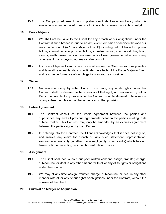15.4. The Company adheres to a comprehensive Data Protection Policy which is available from and updated from time to time at https://www.zincdigital.com/gdpr

# **16. Force Majeure**

- 16.1. We shall not be liable to the Client for any breach of our obligations under the Contract if such breach is due to an act, event, omission or accident beyond our reasonable control (a "Force Majeure Event") including but not limited to: power failure, internet service provider failure, industrial action, civil unrest, fire, flood, storms, earthquakes, acts of terrorism, acts of war, governmental action or any other event that is beyond our reasonable control.
- 16.2. If a Force Majeure Event occurs, we shall inform the Client as soon as possible and take all reasonable steps to mitigate the effects of the Force Majeure Event and resume performance of our obligations as soon as possible.

#### **17. Waiver**

17.1. No failure or delay by either Party in exercising any of its rights under this Contract shall be deemed to be a waiver of that right, and no waiver by either Party of a breach of any provision of this Contract shall be deemed to be a waiver of any subsequent breach of the same or any other provision.

#### **18. Entire Agreement**

- 18.1. The Contract constitutes the whole agreement between the parties and supersedes any and all previous agreements between the parties relating to its subject matter. This Contract may only be amended by an express agreement between the parties signed by both Parties.
- 18.2. In entering into the Contract, the Client acknowledges that it does not rely on, and waives any claim for breach of, any such statement, representation, assurance or warranty (whether made negligently or innocently) which has not been confirmed in writing by an authorised officer of ours.

# **19. Assignment**

- 19.1. The Client shall not, without our prior written consent, assign, transfer, charge, sub-contract or deal in any other manner with all or any of its rights or obligations under the Contract.
- 19.2. We may at any time assign, transfer, charge, sub-contract or deal in any other manner with all or any of our rights or obligations under the Contract, without the consent of the Client.

#### **20. Survival on Merger or Acquisition**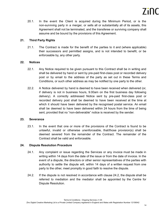20.1. In the event the Client is acquired during the Minimum Period, or is the non-surviving party in a merger, or sells all or substantially all of its assets, this Agreement shall not be terminated, and the transferee or surviving company shall assume and be bound by the provisions of this Agreement.

# **21. Third Party Rights**

21.1. The Contract is made for the benefit of the parties to it and (where applicable) their successors and permitted assigns, and is not intended to benefit, or be enforceable by, any other party.

# **22. Notices**

- 22.1. Any Notice required to be given pursuant to this Contract shall be in writing and shall be delivered by hand or sent by pre-paid first-class post or recorded delivery post or by email to the address of the party as set out in these Terms and Conditions, or such other address as may be notified by one party to the other.
- 22.2. A Notice delivered by hand is deemed to have been received when delivered (or, if delivery is not in business hours, 9.00am on the first business day following delivery). A correctly addressed Notice sent by pre-paid first-class post or recorded delivery post shall be deemed to have been received at the time at which it should have been delivered by the recognised postal service. An email shall be deemed to have been delivered within 24 hours from the time of being sent, provided that no "non-deliverable" notice is received by the sender.

# **23. Severance**

23.1. In the event that one or more of the provisions of the Contract is found to be unlawful, invalid or otherwise unenforceable, that/those provision(s) shall be deemed severed from the remainder of the Contract. The remainder of the Contract shall be valid and enforceable.

# **24. Dispute Resolution Procedure**

- 24.1. Any complaint or issue regarding the Services or any invoice must be made in writing within 14 days from the date of the issue or from the date of invoice. In the event of a dispute, the directors or other senior representatives of the parties with authority to settle the dispute will, within 14 days of a written request from one party to the other, meet promptly in good faith to resolve the dispute.
- 24.2. If the dispute is not resolved in accordance with clause 24.2, the dispute shall be referred to mediation and the mediator shall be appointed by the Centre for Dispute Resolution.